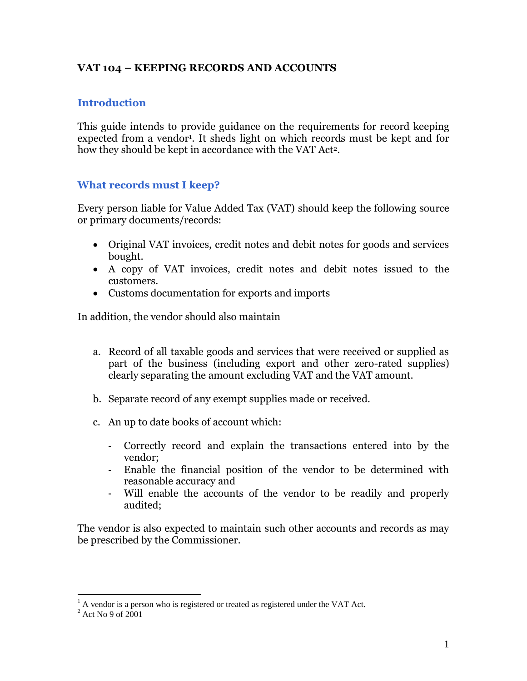# **VAT 104 – KEEPING RECORDS AND ACCOUNTS**

#### **Introduction**

This guide intends to provide guidance on the requirements for record keeping expected from a vendor<sup>1</sup>. It sheds light on which records must be kept and for how they should be kept in accordance with the VAT Act<sup>2</sup>.

#### **What records must I keep?**

Every person liable for Value Added Tax (VAT) should keep the following source or primary documents/records:

- Original VAT invoices, credit notes and debit notes for goods and services bought.
- A copy of VAT invoices, credit notes and debit notes issued to the customers.
- Customs documentation for exports and imports

In addition, the vendor should also maintain

- a. Record of all taxable goods and services that were received or supplied as part of the business (including export and other zero-rated supplies) clearly separating the amount excluding VAT and the VAT amount.
- b. Separate record of any exempt supplies made or received.
- c. An up to date books of account which:
	- Correctly record and explain the transactions entered into by the vendor;
	- Enable the financial position of the vendor to be determined with reasonable accuracy and
	- Will enable the accounts of the vendor to be readily and properly audited;

The vendor is also expected to maintain such other accounts and records as may be prescribed by the Commissioner.

 $\overline{a}$ 

 $<sup>1</sup>$  A vendor is a person who is registered or treated as registered under the VAT Act.</sup>

 $2$  Act No 9 of 2001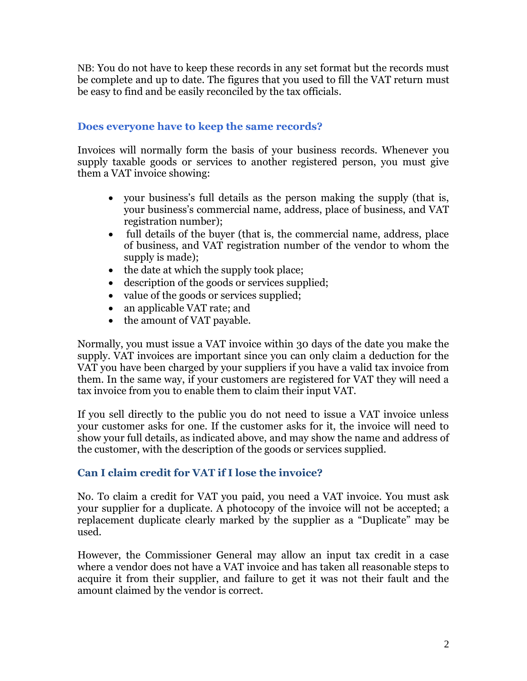NB: You do not have to keep these records in any set format but the records must be complete and up to date. The figures that you used to fill the VAT return must be easy to find and be easily reconciled by the tax officials.

#### **Does everyone have to keep the same records?**

Invoices will normally form the basis of your business records. Whenever you supply taxable goods or services to another registered person, you must give them a VAT invoice showing:

- your business's full details as the person making the supply (that is, your business's commercial name, address, place of business, and VAT registration number);
- full details of the buyer (that is, the commercial name, address, place of business, and VAT registration number of the vendor to whom the supply is made);
- the date at which the supply took place;
- description of the goods or services supplied;
- value of the goods or services supplied;
- an applicable VAT rate; and
- the amount of VAT payable.

Normally, you must issue a VAT invoice within 30 days of the date you make the supply. VAT invoices are important since you can only claim a deduction for the VAT you have been charged by your suppliers if you have a valid tax invoice from them. In the same way, if your customers are registered for VAT they will need a tax invoice from you to enable them to claim their input VAT.

If you sell directly to the public you do not need to issue a VAT invoice unless your customer asks for one. If the customer asks for it, the invoice will need to show your full details, as indicated above, and may show the name and address of the customer, with the description of the goods or services supplied.

## **Can I claim credit for VAT if I lose the invoice?**

No. To claim a credit for VAT you paid, you need a VAT invoice. You must ask your supplier for a duplicate. A photocopy of the invoice will not be accepted; a replacement duplicate clearly marked by the supplier as a "Duplicate" may be used.

However, the Commissioner General may allow an input tax credit in a case where a vendor does not have a VAT invoice and has taken all reasonable steps to acquire it from their supplier, and failure to get it was not their fault and the amount claimed by the vendor is correct.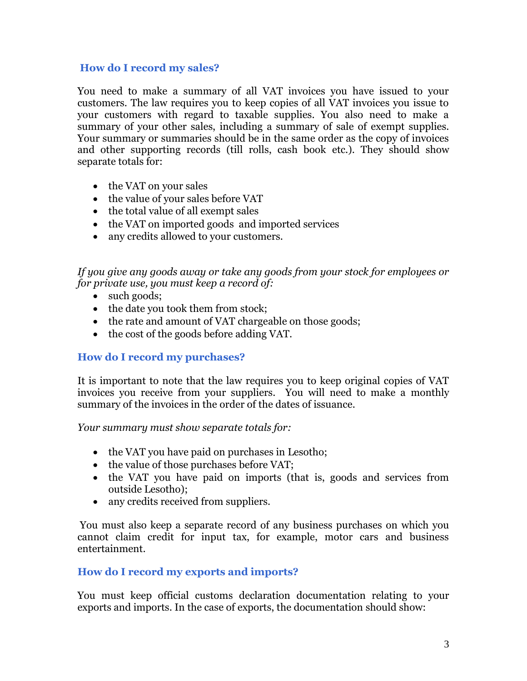#### **How do I record my sales?**

You need to make a summary of all VAT invoices you have issued to your customers. The law requires you to keep copies of all VAT invoices you issue to your customers with regard to taxable supplies. You also need to make a summary of your other sales, including a summary of sale of exempt supplies. Your summary or summaries should be in the same order as the copy of invoices and other supporting records (till rolls, cash book etc.). They should show separate totals for:

- the VAT on your sales
- the value of your sales before VAT
- the total value of all exempt sales
- the VAT on imported goods and imported services
- any credits allowed to your customers.

*If you give any goods away or take any goods from your stock for employees or for private use, you must keep a record of:*

- such goods;
- the date you took them from stock;
- the rate and amount of VAT chargeable on those goods;
- the cost of the goods before adding VAT.

## **How do I record my purchases?**

It is important to note that the law requires you to keep original copies of VAT invoices you receive from your suppliers. You will need to make a monthly summary of the invoices in the order of the dates of issuance.

*Your summary must show separate totals for:*

- the VAT you have paid on purchases in Lesotho;
- the value of those purchases before VAT;
- the VAT you have paid on imports (that is, goods and services from outside Lesotho);
- any credits received from suppliers.

You must also keep a separate record of any business purchases on which you cannot claim credit for input tax, for example, motor cars and business entertainment.

## **How do I record my exports and imports?**

You must keep official customs declaration documentation relating to your exports and imports. In the case of exports, the documentation should show: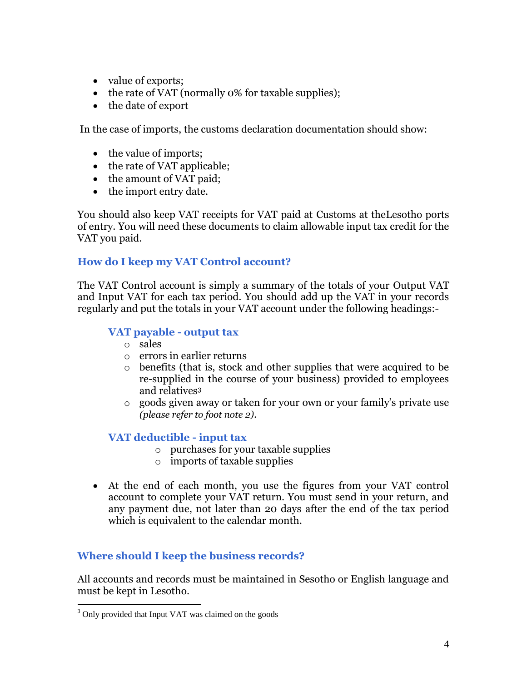- value of exports;
- the rate of VAT (normally 0% for taxable supplies);
- the date of export

In the case of imports, the customs declaration documentation should show:

- the value of imports;
- the rate of VAT applicable;
- the amount of VAT paid;
- the import entry date.

You should also keep VAT receipts for VAT paid at Customs at theLesotho ports of entry. You will need these documents to claim allowable input tax credit for the VAT you paid.

## **How do I keep my VAT Control account?**

The VAT Control account is simply a summary of the totals of your Output VAT and Input VAT for each tax period. You should add up the VAT in your records regularly and put the totals in your VAT account under the following headings:-

## **VAT payable - output tax**

- o sales
- o errors in earlier returns
- o benefits (that is, stock and other supplies that were acquired to be re-supplied in the course of your business) provided to employees and relatives<sup>3</sup>
- o goods given away or taken for your own or your family's private use *(please refer to foot note 2)*.

## **VAT deductible - input tax**

- o purchases for your taxable supplies
- o imports of taxable supplies
- At the end of each month, you use the figures from your VAT control account to complete your VAT return. You must send in your return, and any payment due, not later than 20 days after the end of the tax period which is equivalent to the calendar month.

## **Where should I keep the business records?**

All accounts and records must be maintained in Sesotho or English language and must be kept in Lesotho.

 $\overline{a}$ 

<sup>&</sup>lt;sup>3</sup> Only provided that Input VAT was claimed on the goods